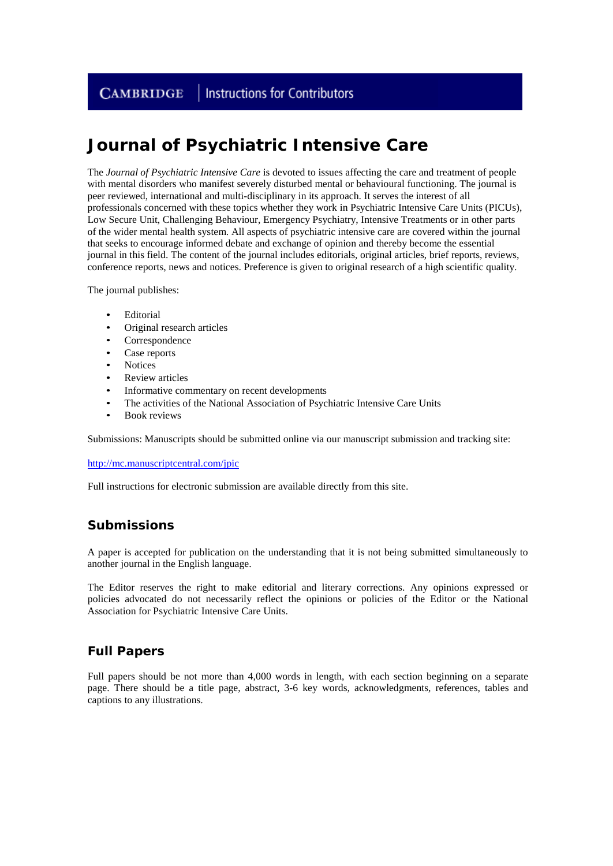# **Journal of Psychiatric Intensive Care**

The *Journal of Psychiatric Intensive Care* is devoted to issues affecting the care and treatment of people with mental disorders who manifest severely disturbed mental or behavioural functioning. The journal is peer reviewed, international and multi-disciplinary in its approach. It serves the interest of all professionals concerned with these topics whether they work in Psychiatric Intensive Care Units (PICUs), Low Secure Unit, Challenging Behaviour, Emergency Psychiatry, Intensive Treatments or in other parts of the wider mental health system. All aspects of psychiatric intensive care are covered within the journal that seeks to encourage informed debate and exchange of opinion and thereby become the essential journal in this field. The content of the journal includes editorials, original articles, brief reports, reviews, conference reports, news and notices. Preference is given to original research of a high scientific quality.

The journal publishes:

- **Editorial**
- Original research articles
- **Correspondence**
- Case reports
- Notices
- Review articles
- Informative commentary on recent developments
- The activities of the National Association of Psychiatric Intensive Care Units
- Book reviews

Submissions: Manuscripts should be submitted online via our manuscript submission and tracking site:

<http://mc.manuscriptcentral.com/jpic>

Full instructions for electronic submission are available directly from this site.

# **Submissions**

A paper is accepted for publication on the understanding that it is not being submitted simultaneously to another journal in the English language.

The Editor reserves the right to make editorial and literary corrections. Any opinions expressed or policies advocated do not necessarily reflect the opinions or policies of the Editor or the National Association for Psychiatric Intensive Care Units.

### **Full Papers**

Full papers should be not more than 4,000 words in length, with each section beginning on a separate page. There should be a title page, abstract, 3-6 key words, acknowledgments, references, tables and captions to any illustrations.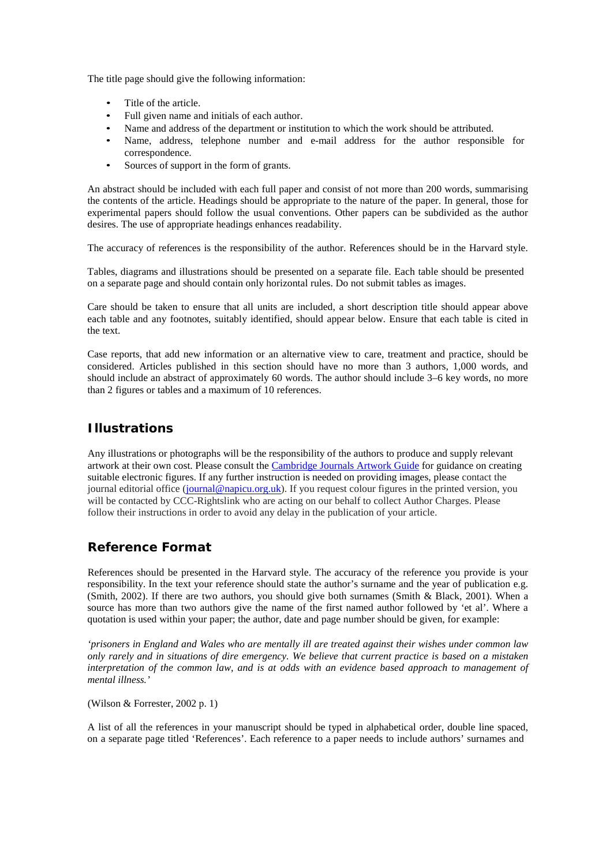The title page should give the following information:

- Title of the article.
- Full given name and initials of each author.
- Name and address of the department or institution to which the work should be attributed.
- Name, address, telephone number and e-mail address for the author responsible for correspondence.
- Sources of support in the form of grants.

An abstract should be included with each full paper and consist of not more than 200 words, summarising the contents of the article. Headings should be appropriate to the nature of the paper. In general, those for experimental papers should follow the usual conventions. Other papers can be subdivided as the author desires. The use of appropriate headings enhances readability.

The accuracy of references is the responsibility of the author. References should be in the Harvard style.

Tables, diagrams and illustrations should be presented on a separate file. Each table should be presented on a separate page and should contain only horizontal rules. Do not submit tables as images.

Care should be taken to ensure that all units are included, a short description title should appear above each table and any footnotes, suitably identified, should appear below. Ensure that each table is cited in the text.

Case reports, that add new information or an alternative view to care, treatment and practice, should be considered. Articles published in this section should have no more than 3 authors, 1,000 words, and should include an abstract of approximately 60 words. The author should include 3–6 key words, no more than 2 figures or tables and a maximum of 10 references.

# **Illustrations**

Any illustrations or photographs will be the responsibility of the authors to produce and supply relevant artwork at their own cost. Please consult the [Cambridge Journals Artwork Guide](http://journals.cambridge.org/action/stream?pageId=7848&level=2&sessionId=DBD41E25A70E8CF7E9E9CD627A082AC5.journals) for guidance on creating suitable electronic figures. If any further instruction is needed on providing images, please contact the journal editorial office [\(journal@napicu.org.uk\)](mailto:journal@napicu.org.uk). If you request colour figures in the printed version, you will be contacted by CCC-Rightslink who are acting on our behalf to collect Author Charges. Please follow their instructions in order to avoid any delay in the publication of your article.

### **Reference Format**

References should be presented in the Harvard style. The accuracy of the reference you provide is your responsibility. In the text your reference should state the author's surname and the year of publication e.g. (Smith, 2002). If there are two authors, you should give both surnames (Smith & Black, 2001). When a source has more than two authors give the name of the first named author followed by 'et al'. Where a quotation is used within your paper; the author, date and page number should be given, for example:

*'prisoners in England and Wales who are mentally ill are treated against their wishes under common law only rarely and in situations of dire emergency. We believe that current practice is based on a mistaken interpretation of the common law, and is at odds with an evidence based approach to management of mental illness.'*

(Wilson & Forrester, 2002 p. 1)

A list of all the references in your manuscript should be typed in alphabetical order, double line spaced, on a separate page titled 'References'. Each reference to a paper needs to include authors' surnames and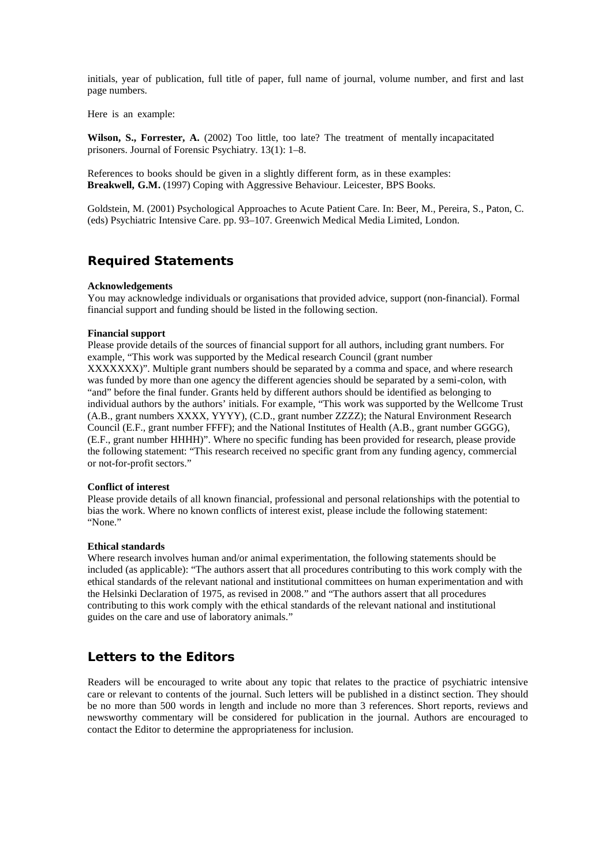initials, year of publication, full title of paper, full name of journal, volume number, and first and last page numbers.

Here is an example:

**Wilson, S., Forrester, A.** (2002) Too little, too late? The treatment of mentally incapacitated prisoners. Journal of Forensic Psychiatry. 13(1): 1–8.

References to books should be given in a slightly different form, as in these examples: **Breakwell, G.M.** (1997) Coping with Aggressive Behaviour. Leicester, BPS Books.

Goldstein, M. (2001) Psychological Approaches to Acute Patient Care. In: Beer, M., Pereira, S., Paton, C. (eds) Psychiatric Intensive Care. pp. 93–107. Greenwich Medical Media Limited, London.

# **Required Statements**

#### **Acknowledgements**

You may acknowledge individuals or organisations that provided advice, support (non-financial). Formal financial support and funding should be listed in the following section.

#### **Financial support**

Please provide details of the sources of financial support for all authors, including grant numbers. For example, "This work was supported by the Medical research Council (grant number XXXXXXX)". Multiple grant numbers should be separated by a comma and space, and where research was funded by more than one agency the different agencies should be separated by a semi-colon, with "and" before the final funder. Grants held by different authors should be identified as belonging to individual authors by the authors' initials. For example, "This work was supported by the Wellcome Trust (A.B., grant numbers XXXX, YYYY), (C.D., grant number ZZZZ); the Natural Environment Research Council (E.F., grant number FFFF); and the National Institutes of Health (A.B., grant number GGGG), (E.F., grant number HHHH)". Where no specific funding has been provided for research, please provide the following statement: "This research received no specific grant from any funding agency, commercial or not-for-profit sectors."

#### **Conflict of interest**

Please provide details of all known financial, professional and personal relationships with the potential to bias the work. Where no known conflicts of interest exist, please include the following statement: "None."

#### **Ethical standards**

Where research involves human and/or animal experimentation, the following statements should be included (as applicable): "The authors assert that all procedures contributing to this work comply with the ethical standards of the relevant national and institutional committees on human experimentation and with the Helsinki Declaration of 1975, as revised in 2008." and "The authors assert that all procedures contributing to this work comply with the ethical standards of the relevant national and institutional guides on the care and use of laboratory animals."

# **Letters to the Editors**

Readers will be encouraged to write about any topic that relates to the practice of psychiatric intensive care or relevant to contents of the journal. Such letters will be published in a distinct section. They should be no more than 500 words in length and include no more than 3 references. Short reports, reviews and newsworthy commentary will be considered for publication in the journal. Authors are encouraged to contact the Editor to determine the appropriateness for inclusion.